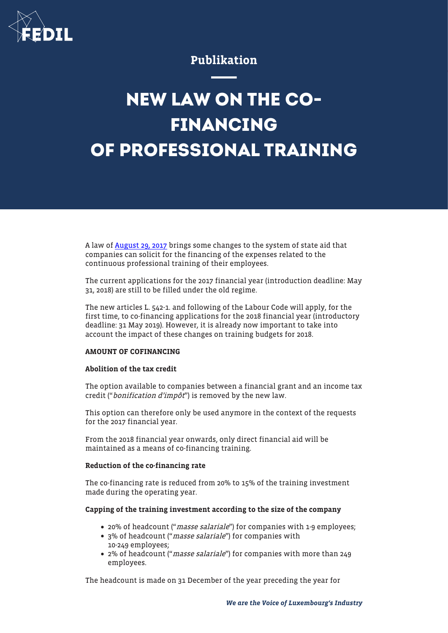

# Publikation

# **NEW LAW ON THE CO-FINANCING OF PROFESSIONAL TRAINING**

A law of [August 29, 2017](http://legilux.public.lu/eli/etat/leg/loi/2017/08/29/a798/jo) brings some changes to the system of state aid that companies can solicit for the financing of the expenses related to the continuous professional training of their employees.

The current applications for the 2017 financial year (introduction deadline: May 31, 2018) are still to be filled under the old regime.

The new articles L. 542-1. and following of the Labour Code will apply, for the first time, to co-financing applications for the 2018 financial year (introductory deadline: 31 May 2019). However, it is already now important to take into account the impact of these changes on training budgets for 2018.

#### AMOUNT OF COFINANCING

#### Abolition of the tax credit

The option available to companies between a financial grant and an income tax credit ("*bonification d'impôt*") is removed by the new law.

This option can therefore only be used anymore in the context of the requests for the 2017 financial year.

From the 2018 financial year onwards, only direct financial aid will be maintained as a means of co-financing training.

#### Reduction of the co-financing rate

The co-financing rate is reduced from 20% to 15% of the training investment made during the operating year.

# Capping of the training investment according to the size of the company

- 20% of headcount ("*masse salariale*") for companies with 1-9 employees;
- 3% of headcount ("*masse salariale*") for companies with 10-249 employees;
- 2% of headcount ("*masse salariale*") for companies with more than 249 employees.

The headcount is made on 31 December of the year preceding the year for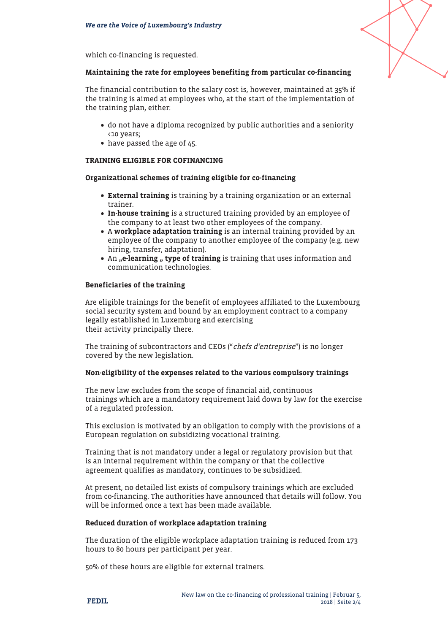which co-financing is requested.

# Maintaining the rate for employees benefiting from particular co-financing

The financial contribution to the salary cost is, however, maintained at 35% if the training is aimed at employees who, at the start of the implementation of the training plan, either:

- do not have a diploma recognized by public authorities and a seniority <10 years;
- have passed the age of 45.

# TRAINING ELIGIBLE FOR COFINANCING

# Organizational schemes of training eligible for co-financing

- External training is training by a training organization or an external trainer.
- In-house training is a structured training provided by an employee of the company to at least two other employees of the company.
- A workplace adaptation training is an internal training provided by an employee of the company to another employee of the company (e.g. new hiring, transfer, adaptation).
- An "e-learning " type of training is training that uses information and communication technologies.

# Beneficiaries of the training

Are eligible trainings for the benefit of employees affiliated to the Luxembourg social security system and bound by an employment contract to a company legally established in Luxemburg and exercising their activity principally there.

The training of subcontractors and CEOs ("chefs d'entreprise") is no longer covered by the new legislation.

#### Non-eligibility of the expenses related to the various compulsory trainings

The new law excludes from the scope of financial aid, continuous trainings which are a mandatory requirement laid down by law for the exercise of a regulated profession.

This exclusion is motivated by an obligation to comply with the provisions of a European regulation on subsidizing vocational training.

Training that is not mandatory under a legal or regulatory provision but that is an internal requirement within the company or that the collective agreement qualifies as mandatory, continues to be subsidized.

At present, no detailed list exists of compulsory trainings which are excluded from co-financing. The authorities have announced that details will follow. You will be informed once a text has been made available.

#### Reduced duration of workplace adaptation training

The duration of the eligible workplace adaptation training is reduced from 173 hours to 80 hours per participant per year.

50% of these hours are eligible for external trainers.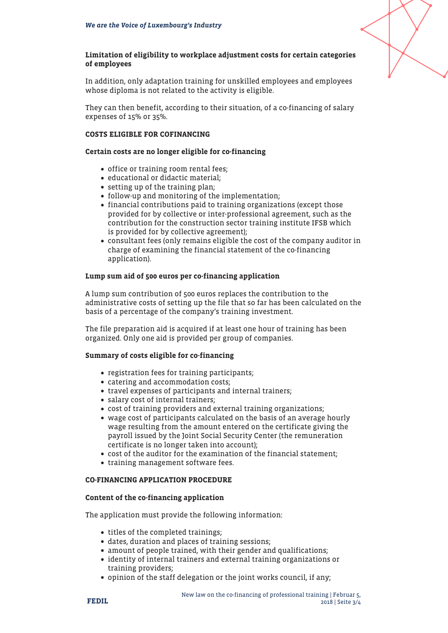

# Limitation of eligibility to workplace adjustment costs for certain categories of employees

In addition, only adaptation training for unskilled employees and employees whose diploma is not related to the activity is eligible.

They can then benefit, according to their situation, of a co-financing of salary expenses of 15% or 35%.

#### COSTS ELIGIBLE FOR COFINANCING

# Certain costs are no longer eligible for co-financing

- office or training room rental fees;
- educational or didactic material;
- setting up of the training plan;
- follow-up and monitoring of the implementation;
- financial contributions paid to training organizations (except those provided for by collective or inter-professional agreement, such as the contribution for the construction sector training institute IFSB which is provided for by collective agreement);
- consultant fees (only remains eligible the cost of the company auditor in charge of examining the financial statement of the co-financing application).

# Lump sum aid of 500 euros per co-financing application

A lump sum contribution of 500 euros replaces the contribution to the administrative costs of setting up the file that so far has been calculated on the basis of a percentage of the company's training investment.

The file preparation aid is acquired if at least one hour of training has been organized. Only one aid is provided per group of companies.

#### Summary of costs eligible for co-financing

- registration fees for training participants;
- catering and accommodation costs;
- travel expenses of participants and internal trainers;
- salary cost of internal trainers;
- cost of training providers and external training organizations;
- wage cost of participants calculated on the basis of an average hourly wage resulting from the amount entered on the certificate giving the payroll issued by the Joint Social Security Center (the remuneration certificate is no longer taken into account);
- cost of the auditor for the examination of the financial statement;
- training management software fees.

# CO-FINANCING APPLICATION PROCEDURE

#### Content of the co-financing application

The application must provide the following information:

- titles of the completed trainings;
- dates, duration and places of training sessions;
- amount of people trained, with their gender and qualifications;
- identity of internal trainers and external training organizations or training providers;
- opinion of the staff delegation or the joint works council, if any;